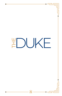# EDUKE

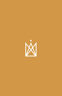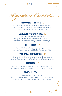

## BREAKFAST AT TIFFANY'S 13

Tito's Handmade Vodka, grapefruit, elderflower liqueur, Cava. *Bubbly, citric, floral and bright. Our little HUMMINGBIRD is the perfect way to start your day, or keep it going.*

## GENTLEMEN PREFER BLONDES 10

Belvedere Vodka, vanilla, pineapple. *A silky, rich infusion of vanilla in this tropical LEMON DROP combines with the bright, curving sweetness of pineapple.*

## HIGH SOCIETY 12

Absolut Elyx Vodka, lime, pomegranate, grenadine. *Always elegant and chic, this COSMO is dark, yet refreshing.*

## ONCE UPON A TIME IN MEXICO 13

Espolon Blanco Tequila, Ancho Verde, cucumber, lime, mint. *A garden-fresh MARGARITA with subtle heat to wake up your senses.*

## CLEOPATRA 12

Patron XO tequila, Kahlua, Absolut Mandarin Vodka, chocolate. *A CHOCOLATE MARTINI so decadent and rich that it's fit for royalty.*

## VIVACIOUS LADY 12

Belvedere Vodka, ginger beer, lime. *Our MOSCOW MULE really packs a kick with acidic, fresh-squeezed lime juice to balance the spicy sweetness of the ginger beer.*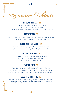*Signature Cocktails*

## THE DUKE HIMSELF 12

Maker's Mark Bourbon, homemade simple surup, a blend of orange and aromatic bitters. *Our sharp and powerful OLD FASHIONED with the Swagger of the Duke.*

## GODFATHER IV 13

Johnnie Walker Black Label Scotch, amaretto, Cointreau, orange bitters. *Smoky, strong and a little nutty is our version of a GODFATHER.*

## TOUGH WITHOUT A GUN 12

Botanist Gin, Campari, Carpano Antica Formula Vermouth. *Complex, bitter, sweet and deep; a beautifully balanced NEGRONI.*

## FOLLOW THE FLEET 10

Bacardi Rum, grapefruit, lime, Maraschino liqueur. *This fancy and fun HEMINGWAY DAIQUIRI is likely to take you away in song.*

## EAST OF EDEN 13

Bulleit Rye, lemonade, blackberry jam, California Cabernet. *Strong, citric, smooth, this spicy rye base is accentuated by the layering of dark spice notes from a California Cabernet float in our NEW YORK SOUR.*

## SOLDIER OF FORTUNE 12

Jameson Caskmates Stout Whiskey, Carpano Antica, orange bitters.. *A sturdy, yet velvety smooth interpretation of a timeless MANHATTAN.*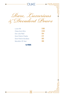

| Louis XIII          | <b>S180</b> |
|---------------------|-------------|
| Clase Azul Ultra    | <b>S149</b> |
| Don Julio Real      | \$54        |
| Gran Patrón Piedra  | <b>S72</b>  |
| Gran Patrón Burdeos | <b>S65</b>  |
| Macallan 25 Year    | sgo         |

1oz POURS

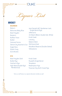*Liquor List*

## **WHISKEY**

#### **BOURBON**

 Baker's Balcones Baby Blue Basil Hayden Booker's Buffalo Trace Bulleit Calumet Farms Detroit City Butcher's Cut Old Grand-Dad Eagle Rare Elijiah Craig Ezra Brooks

Jack Daniel's (#7, Gentlemen Jack, Single Barrel Rye) Jefferson's Jim Beam (Black, Double Oak, White) Knob Creek **Larcenu** Maker's Mark Woodford Reserve (Double Oaked) Yellowstone

#### **RYE**

Basil Hayden Dark Bulleit Rye Catcher's Rye High West (Double Rye!, Rendezvous)

Knob Creek Russell's Single Barrel **Templeton** Redemption Rye Traverse City North Coast Rye

*\*Ask our staff about our special allocation bottles as well*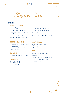*Liquor List*

쀩

## **WHISKEY**

#### **SCOTCH (Blended)**

 Chivas (12) Compass Box Hedonism Compass Box Peat Monster Dewar's White Label Johnnie Walker Black Label

Johnnie Walker Blue Label Johnnie Walker Red Label Monkey Shoulder White Walker by Johnnie Walker

#### **SCOTCH (Speyside)**

 Balvenie 14 Caribbean Cask Glenfiddich (12, 15, 18) Macallan (12)

#### **JAPANESE**

Suntory Yamazaki (12, 18)

**CANADIAN** Canadian Club Crown Royal

**SCOTCH (Islay)** Highland Park (12, 18) Laphroaig

#### **IRISH**

Green Spot (Yellow Spot) Jameson (Irish Whiskey, Select Reserve Black Barrel, IPA, Stout)

Tullamore Dew

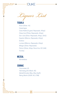

뛹

**TEQUILA**  Avion (Silver, 44) Casamigos Casa Noble (Crystal, Reposado, Añejo) Clase Azul (Plata, Reposado, Añejo) Don Julio (Silver, Reposado, Añejo, 1942) Espolon (Blanco, Reposado, Añejo) **Exotico**  Lunazul (Blanco, Reposado, Añejo) Milagro (Silver, Reposado) Patron (Silver, Añejo, Roca line, XO Café) Tromba

**MEZCAL Montelobos** 

## COGNAC

 Courvoisier VS Hennessy (VS, Black, XO) Martell (Cordon Bleu, Blue Swift) Remy Martin (VSOP, XO, 1738)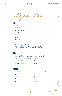

**EDI** 

## GIN

 Aviation Beefeater Bombay Sapphire **Botanist**  Broker's Hendrick's Pinnacle Roku Tanqueray (Standard, 10) Valentine Liberator (American Gin, Old Tom)

### RUM

Appleton Estate Signature Cruzan Aged Light Appleton Estate Reserve Bacardi Cachaça 51 Captain Morgan Gosling's Malibu Mount Gay

# VODKA

 Absolut Elyx Belvedere Ciroc Grey Goose Haku

 Hanson (Organic, Lemon) Ketel One **Svedka**  Tito's Valentine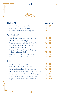**EDUKE** 

*Wine*

| <b>SPARKLING</b>                               | <b>GLASS</b> | <b>BOTTLE</b> |
|------------------------------------------------|--------------|---------------|
| Mionetto Prosecco, Treviso, Italy              | \$10         | <b>\$38</b>   |
| Chandon Brut, California (split)               | \$15         |               |
| Chandon Brut Rosé, California (split)          | \$15         |               |
| <b>WHITE / ROSE</b>                            |              |               |
| Whitehaven Sauvignon Blanc, Marlborough        | <b>\$11</b>  | <b>\$42</b>   |
| Ruffino 'Lumina' Pinot Grigio                  | <b>\$10</b>  | <b>\$38</b>   |
| Whispering Angel Rosé, Vins de Pays d'Oc       | \$12         | <b>\$46</b>   |
| Mer Soleil Chardonnay by Caymus,               |              |               |
| Santa Lucia Highlands                          | \$11         | <b>\$42</b>   |
| Upshot by Rodney Strong, White Blend,          |              |               |
| Sonoma County, California                      | \$11         | <b>\$42</b>   |
| Cakebread Chardonnay, Napa Valley              | \$18         | \$70          |
| Marenco 'Strev', Moscato d'Asti DOCG           | \$10         | <b>\$38</b>   |
| RED                                            |              |               |
| Meiomi Pinot Noir, California                  | \$12         | <b>\$46</b>   |
| Conundrum Red Blend, California                | \$11         | <b>\$42</b>   |
| Felino Malbec by Paul Hobbs, Mendoza           | \$12         | <b>\$46</b>   |
| Robert Mondavi Merlot, Napa Valley, California | \$10         | \$38          |
| Decoy Cabernet Sauvignon by Duckhorn, Sonoma   | \$13         | <b>\$52</b>   |
| Justin Cabernet Sauvignon, Paso Robles         | \$15         | \$62          |
| Caymus Cabernet Sauvignon, Napa Valley         | \$36         | \$160         |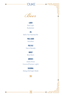## EDUKF

*Beer*

#### LAGER

Bud Light Budweiser

#### IPA

Bell's Two Hearted Ale

#### PALE LAGER

Heineken

#### PALE ALE

Sierra Nevada

#### WHEAT

Blue Moon

#### IMPORTS

Stella Artois Corona (Premier, Light)

#### **SEASONAL**

Always Michigan Made

## \$6